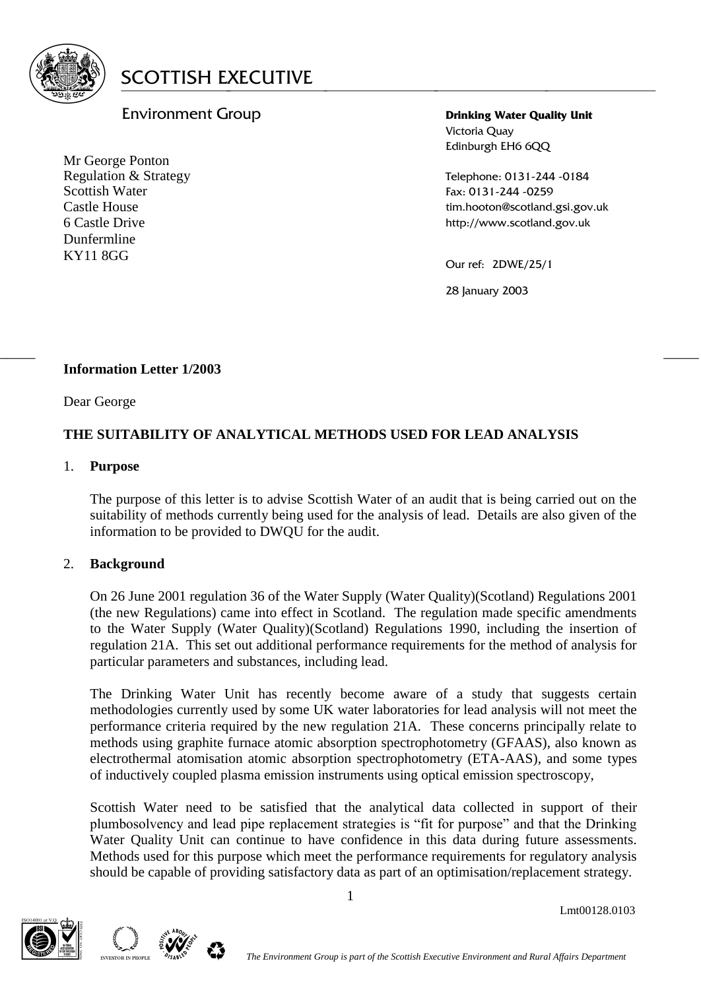

# Environment Group

Mr George Ponton Regulation & Strategy Scottish Water Castle House 6 Castle Drive Dunfermline KY11 8GG

**Drinking Water Quality Unit** Victoria Quay Edinburgh EH6 6QQ

Telephone: 0131-244 -0184 Fax: 0131-244 -0259 tim.hooton@scotland.gsi.gov.uk http://www.scotland.gov.uk

Our ref: 2DWE/25/1

28 January 2003

# **Information Letter 1/2003**

Dear George

# **THE SUITABILITY OF ANALYTICAL METHODS USED FOR LEAD ANALYSIS**

 $\frac{1}{2}$  , the contribution of the contribution of the contribution of the contribution of the contribution of the contribution of the contribution of the contribution of the contribution of the contribution of the contr

## 1. **Purpose**

The purpose of this letter is to advise Scottish Water of an audit that is being carried out on the suitability of methods currently being used for the analysis of lead. Details are also given of the information to be provided to DWQU for the audit.

# 2. **Background**

On 26 June 2001 regulation 36 of the Water Supply (Water Quality)(Scotland) Regulations 2001 (the new Regulations) came into effect in Scotland. The regulation made specific amendments to the Water Supply (Water Quality)(Scotland) Regulations 1990, including the insertion of regulation 21A. This set out additional performance requirements for the method of analysis for particular parameters and substances, including lead.

The Drinking Water Unit has recently become aware of a study that suggests certain methodologies currently used by some UK water laboratories for lead analysis will not meet the performance criteria required by the new regulation 21A. These concerns principally relate to methods using graphite furnace atomic absorption spectrophotometry (GFAAS), also known as electrothermal atomisation atomic absorption spectrophotometry (ETA-AAS), and some types of inductively coupled plasma emission instruments using optical emission spectroscopy,

Scottish Water need to be satisfied that the analytical data collected in support of their plumbosolvency and lead pipe replacement strategies is "fit for purpose" and that the Drinking Water Quality Unit can continue to have confidence in this data during future assessments. Methods used for this purpose which meet the performance requirements for regulatory analysis should be capable of providing satisfactory data as part of an optimisation/replacement strategy.





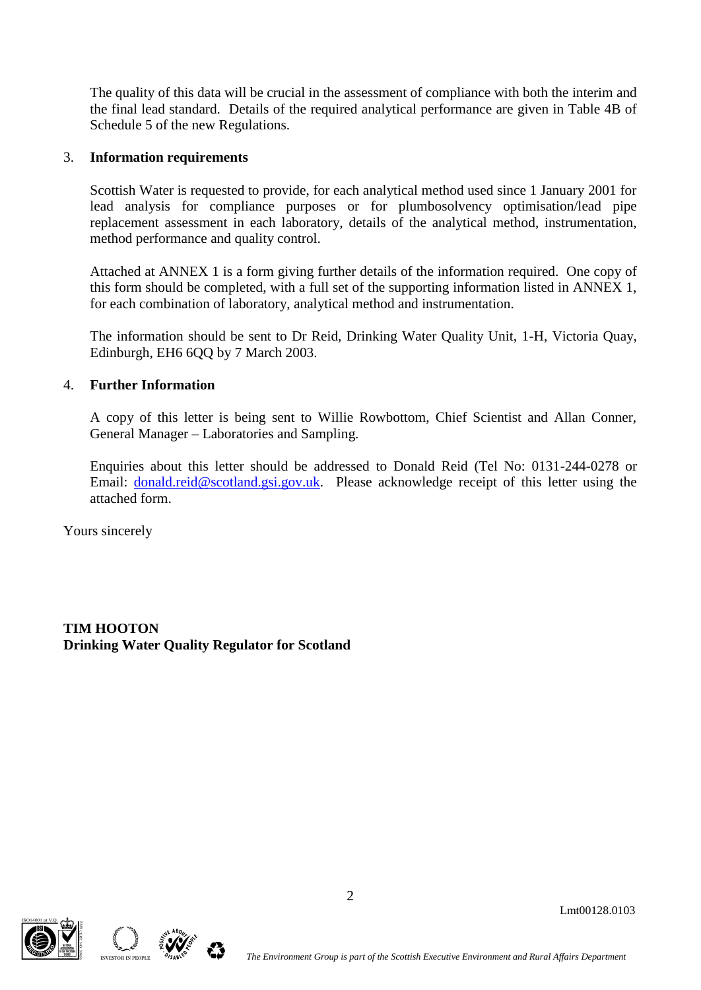The quality of this data will be crucial in the assessment of compliance with both the interim and the final lead standard. Details of the required analytical performance are given in Table 4B of Schedule 5 of the new Regulations.

# 3. **Information requirements**

Scottish Water is requested to provide, for each analytical method used since 1 January 2001 for lead analysis for compliance purposes or for plumbosolvency optimisation/lead pipe replacement assessment in each laboratory, details of the analytical method, instrumentation, method performance and quality control.

Attached at ANNEX 1 is a form giving further details of the information required. One copy of this form should be completed, with a full set of the supporting information listed in ANNEX 1, for each combination of laboratory, analytical method and instrumentation.

The information should be sent to Dr Reid, Drinking Water Quality Unit, 1-H, Victoria Quay, Edinburgh, EH6 6QQ by 7 March 2003.

## 4. **Further Information**

A copy of this letter is being sent to Willie Rowbottom, Chief Scientist and Allan Conner, General Manager – Laboratories and Sampling.

Enquiries about this letter should be addressed to Donald Reid (Tel No: 0131-244-0278 or Email: [donald.reid@scotland.gsi.gov.uk.](mailto:donald.reid@scotland.gsi.gov.uk) Please acknowledge receipt of this letter using the attached form.

2

Yours sincerely

**TIM HOOTON Drinking Water Quality Regulator for Scotland**





Lmt00128.0103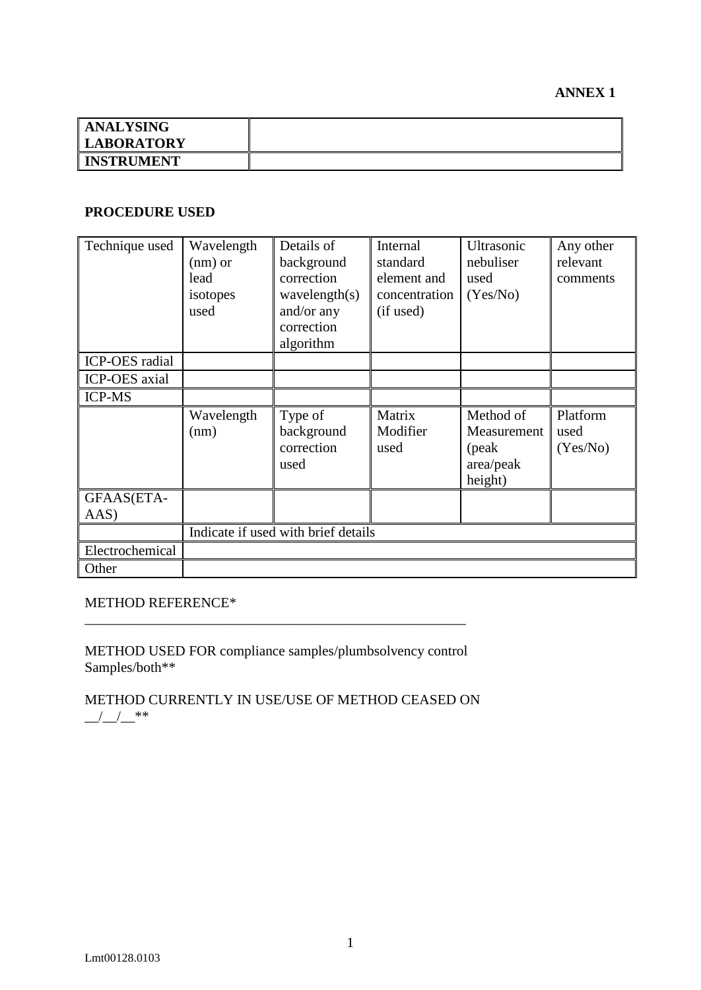| <b>ANALYSING</b>  |  |
|-------------------|--|
| <b>LABORATORY</b> |  |
| <b>INSTRUMENT</b> |  |

#### **PROCEDURE USED**

| Technique used       | Wavelength<br>$(nm)$ or<br>lead<br>isotopes<br>used | Details of<br>background<br>correction<br>wavelength(s)<br>and/or any<br>correction<br>algorithm | Internal<br>standard<br>element and<br>concentration<br>(if used) | Ultrasonic<br>nebuliser<br>used<br>(Yes/No)                | Any other<br>relevant<br>comments |
|----------------------|-----------------------------------------------------|--------------------------------------------------------------------------------------------------|-------------------------------------------------------------------|------------------------------------------------------------|-----------------------------------|
| ICP-OES radial       |                                                     |                                                                                                  |                                                                   |                                                            |                                   |
| <b>ICP-OES</b> axial |                                                     |                                                                                                  |                                                                   |                                                            |                                   |
| <b>ICP-MS</b>        |                                                     |                                                                                                  |                                                                   |                                                            |                                   |
|                      | Wavelength<br>(nm)                                  | Type of<br>background<br>correction<br>used                                                      | Matrix<br>Modifier<br>used                                        | Method of<br>Measurement<br>(peak)<br>area/peak<br>height) | Platform<br>used<br>(Yes/No)      |
| GFAAS(ETA-<br>AAS)   |                                                     |                                                                                                  |                                                                   |                                                            |                                   |
|                      | Indicate if used with brief details                 |                                                                                                  |                                                                   |                                                            |                                   |
| Electrochemical      |                                                     |                                                                                                  |                                                                   |                                                            |                                   |
| Other                |                                                     |                                                                                                  |                                                                   |                                                            |                                   |

# METHOD REFERENCE\*

METHOD USED FOR compliance samples/plumbsolvency control Samples/both\*\*

\_\_\_\_\_\_\_\_\_\_\_\_\_\_\_\_\_\_\_\_\_\_\_\_\_\_\_\_\_\_\_\_\_\_\_\_\_\_\_\_\_\_\_\_\_\_\_\_\_\_\_\_\_\_

METHOD CURRENTLY IN USE/USE OF METHOD CEASED ON  $\frac{1}{2}$  /  $\frac{1}{2}$  \*\*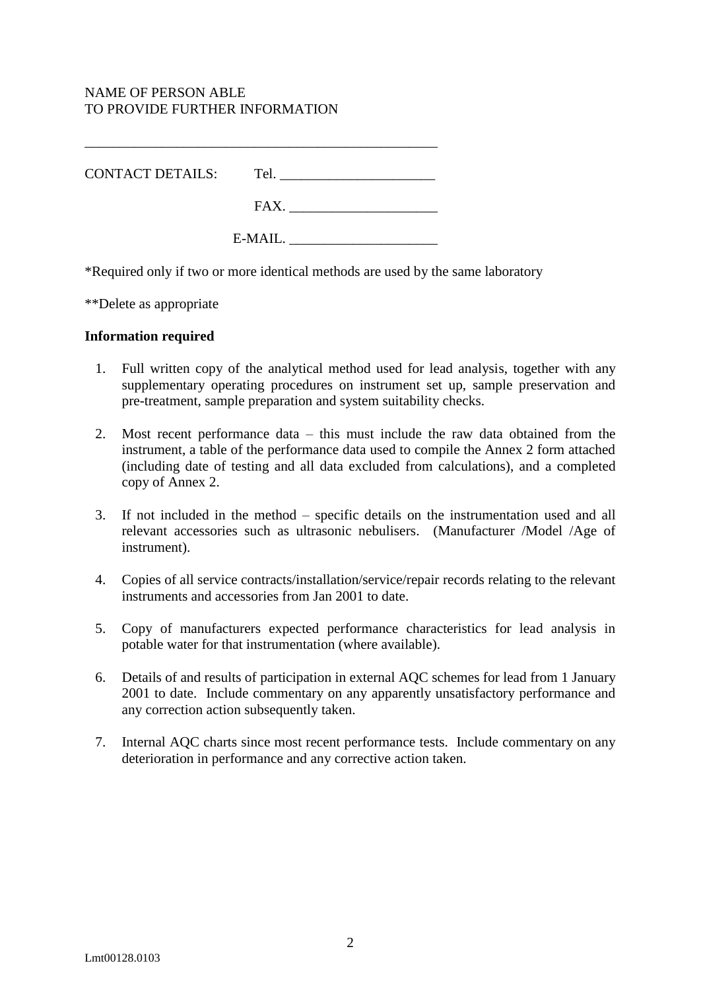# NAME OF PERSON ABLE TO PROVIDE FURTHER INFORMATION

| CONTACT DETAILS: | Tel.    |  |
|------------------|---------|--|
|                  | FAX.    |  |
|                  | E-MAIL. |  |

\_\_\_\_\_\_\_\_\_\_\_\_\_\_\_\_\_\_\_\_\_\_\_\_\_\_\_\_\_\_\_\_\_\_\_\_\_\_\_\_\_\_\_\_\_\_\_\_\_\_

\*Required only if two or more identical methods are used by the same laboratory

\*\*Delete as appropriate

#### **Information required**

- 1. Full written copy of the analytical method used for lead analysis, together with any supplementary operating procedures on instrument set up, sample preservation and pre-treatment, sample preparation and system suitability checks.
- 2. Most recent performance data this must include the raw data obtained from the instrument, a table of the performance data used to compile the Annex 2 form attached (including date of testing and all data excluded from calculations), and a completed copy of Annex 2.
- 3. If not included in the method specific details on the instrumentation used and all relevant accessories such as ultrasonic nebulisers. (Manufacturer /Model /Age of instrument).
- 4. Copies of all service contracts/installation/service/repair records relating to the relevant instruments and accessories from Jan 2001 to date.
- 5. Copy of manufacturers expected performance characteristics for lead analysis in potable water for that instrumentation (where available).
- 6. Details of and results of participation in external AQC schemes for lead from 1 January 2001 to date. Include commentary on any apparently unsatisfactory performance and any correction action subsequently taken.
- 7. Internal AQC charts since most recent performance tests. Include commentary on any deterioration in performance and any corrective action taken.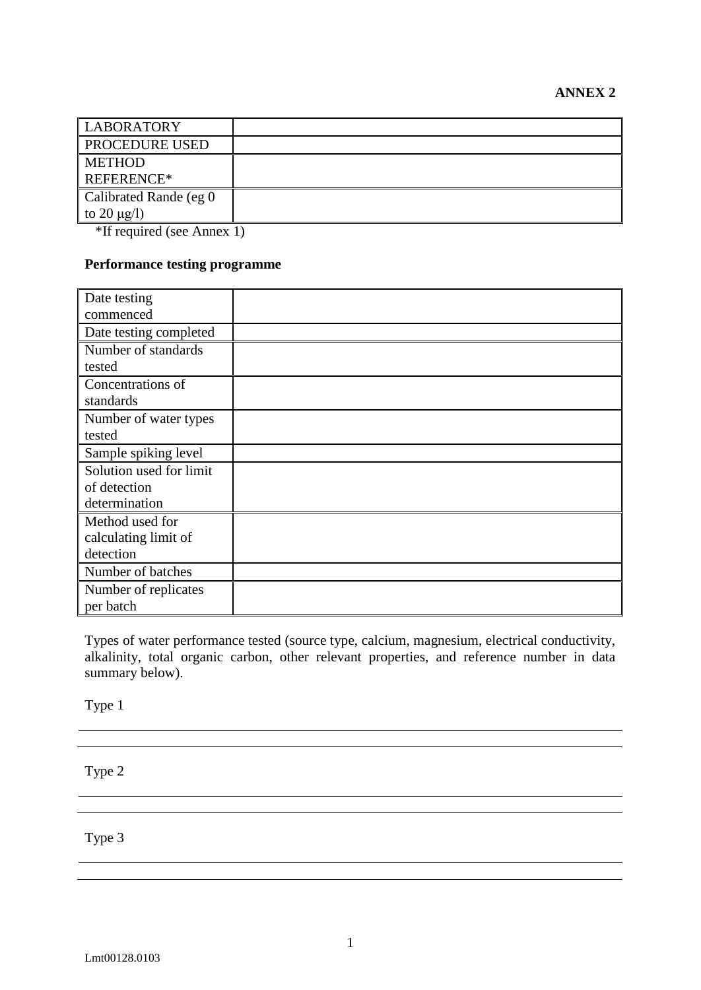| <b>PROCEDURE USED</b><br><b>METHOD</b><br>REFERENCE* | <b>LABORATORY</b> |  |
|------------------------------------------------------|-------------------|--|
|                                                      |                   |  |
|                                                      |                   |  |
|                                                      |                   |  |
| Calibrated Rande (eg 0                               |                   |  |
| to 20 $\mu$ g/l)                                     |                   |  |

\*If required (see Annex 1)

# **Performance testing programme**

| Date testing            |  |
|-------------------------|--|
| commenced               |  |
| Date testing completed  |  |
| Number of standards     |  |
| tested                  |  |
| Concentrations of       |  |
| standards               |  |
| Number of water types   |  |
| tested                  |  |
| Sample spiking level    |  |
| Solution used for limit |  |
| of detection            |  |
| determination           |  |
| Method used for         |  |
| calculating limit of    |  |
| detection               |  |
| Number of batches       |  |
| Number of replicates    |  |
| per batch               |  |

Types of water performance tested (source type, calcium, magnesium, electrical conductivity, alkalinity, total organic carbon, other relevant properties, and reference number in data summary below).

Type 1

Type 2

Type 3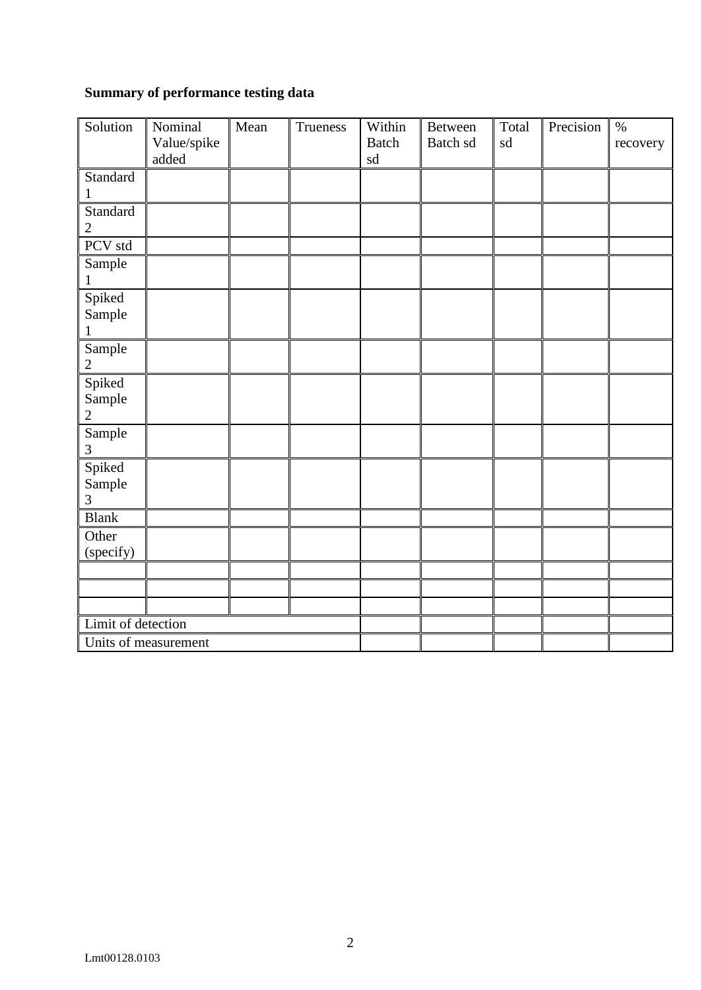# **Summary of performance testing data**

| Solution                           | Nominal<br>Value/spike<br>added | Mean | Trueness | Within<br><b>Batch</b><br>sd | <b>Between</b><br>Batch sd | Total<br>sd | Precision | $\%$<br>recovery |
|------------------------------------|---------------------------------|------|----------|------------------------------|----------------------------|-------------|-----------|------------------|
| Standard<br>$\mathbf{1}$           |                                 |      |          |                              |                            |             |           |                  |
| Standard<br>$\overline{2}$         |                                 |      |          |                              |                            |             |           |                  |
| PCV std                            |                                 |      |          |                              |                            |             |           |                  |
| Sample<br>1                        |                                 |      |          |                              |                            |             |           |                  |
| Spiked<br>Sample<br>$\mathbf{1}$   |                                 |      |          |                              |                            |             |           |                  |
| Sample<br>$\overline{2}$           |                                 |      |          |                              |                            |             |           |                  |
| Spiked<br>Sample<br>$\overline{2}$ |                                 |      |          |                              |                            |             |           |                  |
| Sample<br>3                        |                                 |      |          |                              |                            |             |           |                  |
| Spiked<br>Sample<br>3              |                                 |      |          |                              |                            |             |           |                  |
| <b>Blank</b>                       |                                 |      |          |                              |                            |             |           |                  |
| Other<br>(specify)                 |                                 |      |          |                              |                            |             |           |                  |
|                                    |                                 |      |          |                              |                            |             |           |                  |
|                                    |                                 |      |          |                              |                            |             |           |                  |
|                                    |                                 |      |          |                              |                            |             |           |                  |
| Limit of detection                 |                                 |      |          |                              |                            |             |           |                  |
|                                    | Units of measurement            |      |          |                              |                            |             |           |                  |